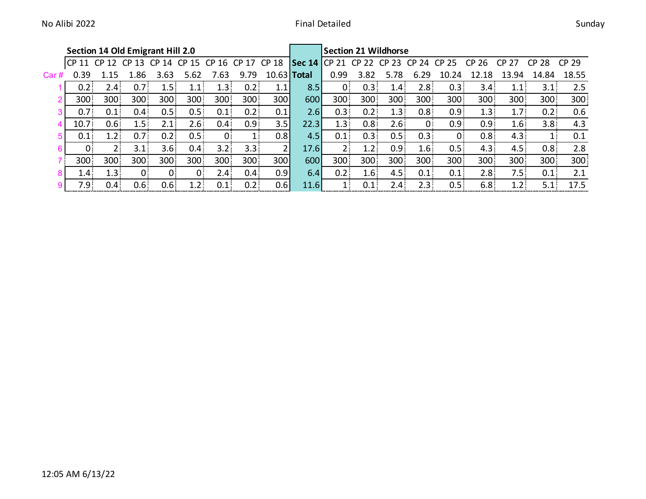|      | <b>Section 14 Old Emigrant Hill 2.0</b> |                  |                  |                  |                  |                         |                  |       | <b>Section 21 Wildhorse</b> |                  |                  |                  |                  |                  |                  |                  |                  |       |  |
|------|-----------------------------------------|------------------|------------------|------------------|------------------|-------------------------|------------------|-------|-----------------------------|------------------|------------------|------------------|------------------|------------------|------------------|------------------|------------------|-------|--|
|      | CP 11                                   | CP <sub>12</sub> |                  |                  |                  | CP 13 CP 14 CP 15 CP 16 | CP 17 CP 18      |       | Sec 14 $CP$ 21              |                  | CP 22            | CP 23            | CP 24            | CP 25            | CP 26            | CP 27            | CP 28            | CP 29 |  |
| Car# | 0.39                                    |                  | .86              | 3.63             | 5.62             | .63                     | 9.79             | 10.63 | <b>Total</b>                | 0.99             | 3.82             | 5.78             | 6.29             | 10.24            | L8               | .94<br>13        | 14.84            | 18.55 |  |
|      | 0.2 <sub>1</sub>                        | 2.4 .            | 0.7 <sup>1</sup> | $\mathbf{1.5}$   | $1.1$ :          | 1.3 <sup>1</sup>        | 0.2              | 1.1   | 8.5                         | $\Omega$         | 0.3 <sub>1</sub> | 1.4 <sub>1</sub> | 2.8 <sup>1</sup> | 0.3              | 3.4 <sup>2</sup> |                  | 3.1 <sup>1</sup> | 2.5   |  |
|      | 300                                     | 300              | 300              | 300              | 300              | 300                     | 300              | 300   | 600                         | 300 <sub>1</sub> | 300              | 300              | 300              | 300              | 300              | 300              | 300 <sup>1</sup> | 300   |  |
|      | 0.7 <sup>1</sup>                        | $0.1$ :          | 0.4 <sup>1</sup> | 0.5 <sup>1</sup> | $0.5^{\circ}$    | $0.1$ :                 | 0.2 <sub>1</sub> | 0.1   | 2.6                         | 0.3              | 0.2 <sub>1</sub> | 1.3              | 0.8 <sub>1</sub> | 0.9 <sup>1</sup> | 1.3 <sup>1</sup> | 1.7 <sup>2</sup> | 0.2              | 0.6   |  |
|      | 10.7 <sub>1</sub>                       | 0.6 <sup>1</sup> | 1.5 <sub>1</sub> | $2.1 -$          | 2.6 <sup>2</sup> | $0.4^{\circ}$           | 0.9 <sub>1</sub> | 3.5   | 22.3                        | 1.3 <sub>1</sub> | 0.8 <sub>1</sub> | 2.6 <sup>2</sup> |                  | 0.9 <sup>°</sup> | 0.9 <sub>1</sub> | 1.6 <sup>1</sup> | 3.8 <sup>°</sup> | 4.3   |  |
| 5    | 0.1                                     | 1.2 <sub>1</sub> | 0.7 <sup>1</sup> | 0.2              | 0.5 <sub>1</sub> | ი:                      | ı.               | 0.8   | 4.5                         | 0.1              | 0.3              | 0.5:             | 0.3              | 0                | 0.8 <sub>1</sub> | 4.3              | 1:               | 0.1   |  |
|      | 0.                                      | $2 -$            | 3.1              | 3.6 <sup>2</sup> | $0.4^{\circ}$    | $3.2^{\circ}$           | 3.3              |       | 17.6                        | $2 -$            | 1.2 <sub>1</sub> | 0.9 <sub>1</sub> | 1.6 <sup>°</sup> | 0.5              | 4.3              | 4.5              | 0.8 <sub>1</sub> | 2.8   |  |
|      | 300                                     | 300              | 300              | 300              | 300              | 300                     | 300              | 300   | 600                         | $300 -$          | 300              | 300              | 300              | 300 <sup>2</sup> | 300              | 300 <sub>1</sub> | 300              | 300   |  |
|      | 1.4 <sub>2</sub>                        | 1.3 <sup>°</sup> | 0.               | 0.               | 0                | 2.4 <sup>2</sup>        | 0.4 <sub>1</sub> | 0.9   | 6.4                         | 0.2              | 1.6              | 4.5 <sup>1</sup> | 0.1              | 0.1              | 2.8              | 7.5              | 0.1              | 2.1   |  |
|      | 7.9 <sup>°</sup>                        | 0.4 :            | 0.6 <sup>1</sup> | 0.6 <sub>1</sub> | 1.2 <sub>1</sub> | 0.1:                    | 0.2 <sub>1</sub> | 0.6   | 11.6                        | $1 -$            | 0.1              | $2.4-$           | 2.3.             | 0.5:             | 6.8              | 1.2 <sub>1</sub> | 5.1:             | 17.5  |  |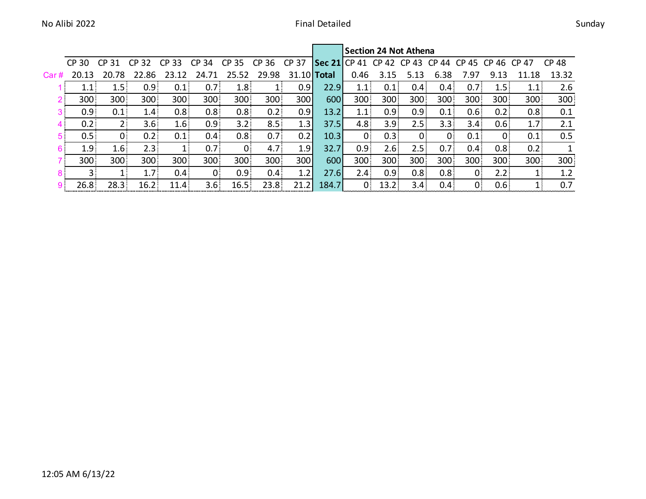|                |                  |                  |                      |                  |                  |                  |                  |       |                              | Section 24 Not Athena |                  |                  |                  |                  |                  |                  |       |  |  |  |  |
|----------------|------------------|------------------|----------------------|------------------|------------------|------------------|------------------|-------|------------------------------|-----------------------|------------------|------------------|------------------|------------------|------------------|------------------|-------|--|--|--|--|
|                | CP 30            | CP.<br>31        | 32<br>C <sub>P</sub> | CP 33            | 34<br>CP         | 35<br><b>CP</b>  | CP 36            | CP 37 | $\left \right.$ Sec 21 CP 41 |                       | CP 42            | CP 43 CP 44      |                  | 45<br>CP.        | CP 46 CP 47      |                  | CP 48 |  |  |  |  |
| Car#           | 20.13            | 20.78            | .86<br>22.           | 23.12            | 24.71            | 25.52            | 29.98            |       | 31.10 <b>Total</b>           | 0.46                  | 3.15             | 5.13             | 6.38             | 7.97             | 9.13             | 11.18            | 13.32 |  |  |  |  |
|                | 1.1:             | 1.5:             | 0.9 <sup>1</sup>     | 0.1              | 0.7 <sup>1</sup> | 1.8 <sup>1</sup> |                  | 0.9   | 22.9                         |                       | 0.1              | $0.4^{\circ}$    | $0.4^{\circ}$    | 0.7 <sup>1</sup> | 1.5:             |                  | 2.6   |  |  |  |  |
| $2^{\circ}$    | 300              | 300              | 300                  | 300              | 300              | 300              | 300              | 300   | 600                          | 300                   | 300              | 300              | 300              | 300              | 300              | 300              | 300   |  |  |  |  |
| 3 <sup>1</sup> | 0.9 <sub>1</sub> | 0.1              | 1.4 <sub>1</sub>     | 0.8 <sup>1</sup> | 0.8 <sub>1</sub> | 0.8 <sup>1</sup> | 0.2              | 0.9   | 13.2                         |                       | 0.9 <sub>1</sub> | 0.9 <sub>1</sub> | $0.1^{\circ}$    | 0.6 <sub>1</sub> | 0.2              | 0.8 <sub>1</sub> | 0.1   |  |  |  |  |
| 4.             | 0.2              | 2:               | 3.6 <sup>°</sup>     | 1.6 <sup>1</sup> | 0.9 <sub>1</sub> | 3.2:             | 8.5              | 1.3   | 37.5                         | 4.8                   | 3.9 <sup>°</sup> | 2.5 <sup>2</sup> | 3.3.             | 3.4 <sup>°</sup> | 0.6 <sub>1</sub> | 1.7:             | 2.1   |  |  |  |  |
| 5.             | 0.5 <sub>1</sub> | 0                | 0.2                  | 0.1              | 0.4 <sub>1</sub> | 0.8 <sup>1</sup> | 0.7 <sub>1</sub> | 0.2   | 10.3                         | 0 <sup>1</sup>        | 0.3              | $\Omega$         |                  | 0.1              | $\mathbf{0}$     | 0.1              | 0.5   |  |  |  |  |
| 6.             | 1.9 <sup>°</sup> | 1.6 <sup>1</sup> | $2.3 -$              |                  | 0.7 <sub>1</sub> | $\mathbf{0}$     | 4.7 <sup>°</sup> | 1.9   | 32.7                         | 0.9 <sub>1</sub>      | 2.6              | 2.5              | 0.7              | $0.4^{\circ}$    | 0.8 <sub>1</sub> | 0.2              |       |  |  |  |  |
|                | 300              | 300              | 300                  | 300 <sub>1</sub> | 300              | 300 <sub>1</sub> | 300              | 300   | 600                          | 300 <sup>2</sup>      | 300              | 300              | 300              | 300              | 300              | 300              | 300   |  |  |  |  |
| $8^{\circ}$    | $3 -$            |                  | 1.7 <sup>1</sup>     | 0.4 <sub>1</sub> | $\mathbf{0}$     | 0.9 <sub>1</sub> | 0.4              | 1.2   | 27.6                         | 2.4 <sup>3</sup>      | 0.9 <sup>°</sup> | 0.8 <sub>1</sub> | 0.8 <sub>1</sub> | $\Omega$         | 2.2              |                  | 1.2   |  |  |  |  |
|                | 26.8             | 28.3             | 16.2 <sup>2</sup>    | 11.4             | 3.6 <sup>2</sup> | 16.5:            | 23.8             | 21.2  | 184.7                        |                       | 13.2             | 3.4 <sup>2</sup> | 0.4)             |                  | 0.6              |                  | 0.7   |  |  |  |  |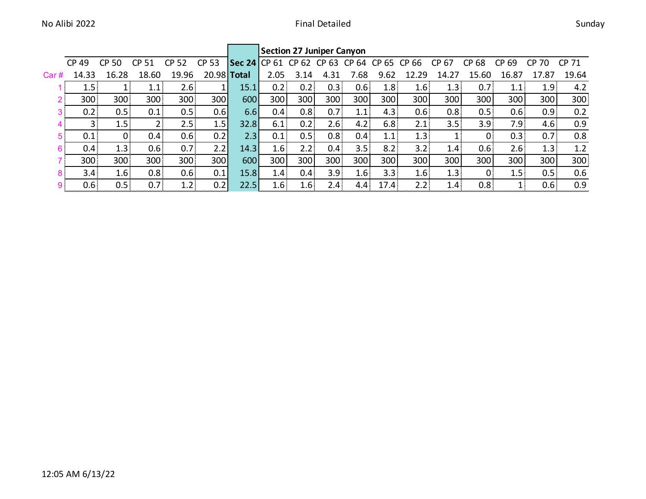|                |                  |                  |                  |                  |                  |                     | <b>Section 27 Juniper Canyon</b> |                  |                  |                  |                   |                  |                  |                  |                  |                  |                  |  |  |
|----------------|------------------|------------------|------------------|------------------|------------------|---------------------|----------------------------------|------------------|------------------|------------------|-------------------|------------------|------------------|------------------|------------------|------------------|------------------|--|--|
|                | CP 49            | <b>CP</b><br>50  | CP 51            | CP.<br>-52       | <b>CP 53</b>     | <b>Sec 24 CP 61</b> |                                  | CP 62            | CP 63            | CP 64            | CP 65             | CP 66            | CP 67            | <b>CP</b><br>68  | <b>CP</b><br>-69 | CP.<br>70        | CP 71            |  |  |
| Car#           | 14.33            | 16.28            | 18.60            | 19.96            | 20.98 Total      |                     | 2.05                             | 3.14             | 4.31             | '.68             | 9.62              | 12.29            | 14.27            | 15.60            | 16.87            | 17.87            | 19.64            |  |  |
|                | 1.5%             |                  | 1.1              | 2.6 <sub>1</sub> |                  | 15.1                | 0.2                              | 0.2              | 0.3              | 0.6 <sub>1</sub> | 1.8               | 1.6 <sup>1</sup> | 1.3%             | 0.7 <sub>1</sub> | 1.1              | 1.9 <sup>3</sup> | 4.2              |  |  |
| 2 <sup>1</sup> | 300              | 300              | 300              | 300              | 300              | 600                 | 300                              | 300              | 300              | 300              | 300               | 300              | 300              | 300              | 300              | 300              | 300 <sub>3</sub> |  |  |
|                | 0.2              | 0.5              | 0.1              | 0.5:             | 0.6              | 6.6                 | 0.4                              | 0.8              | 0.7 <sub>1</sub> | 1.1              | 4.3               | 0.6 <sub>1</sub> | 0.8              | 0.5              | 0.6 <sub>1</sub> | 0.9 <sub>3</sub> | 0.2              |  |  |
|                |                  | 1.5              |                  | 2.5              | 1.5              | 32.8                | 6.1                              | 0.2%             | $2.6^{\circ}$    | 4.2              | 6.8               | 2.1              | 3.5%             | 3.9 <sub>1</sub> | 7.9 <sub>1</sub> | 4.6 <sub>1</sub> | 0.9              |  |  |
| 5.             | 0.1              | $\Omega$         | 0.4 <sup>1</sup> | 0.6 <sup>1</sup> | 0.2 <sub>1</sub> | 2.3                 | 0.1                              | 0.5%             | 0.8 <sub>1</sub> | 0.4 <sub>1</sub> | 1.1               | 1.3              |                  |                  | 0.3              | 0.7 <sup>1</sup> | 0.8              |  |  |
| 6              | 0.4.             | 1.3              | 0.6%             | 0.7 <sup>1</sup> | 2.2              | 14.3                | 1.6                              | 2.2%             | 0.4              | 3.5 <sub>1</sub> | 8.2%              | 3.2 <sub>1</sub> | 1.4              | 0.6 <sup>1</sup> | 2.6%             | 1.3              | 1.2              |  |  |
|                | 300              | 300              | 300              | 300              | 300              | 600                 | 300                              | 300              | 300              | 300              | 300               | 300              | 300              | 300              | 300              | 300              | 300              |  |  |
| 8              | 3.4 <sup>°</sup> | 1.6 <sup>2</sup> | 0.8 <sub>1</sub> | 0.6 <sub>1</sub> | 0.1              | 15.8                | 1.4                              | 0.4%             | 3.9 <sup>°</sup> | 1.6 <sup>1</sup> | 3.3 <sub>1</sub>  | 1.6              | 1.3 <sup>3</sup> |                  | 1.5              | 0.5              | 0.6              |  |  |
| 9              | 0.6              | 0.5              | 0.7 <sup>3</sup> | 1.2              | 0.2              | 22.5                | 1.6                              | 1.6 <sup>2</sup> | 2.4 <sup>2</sup> | $4.4-$           | 17.4 <sup>2</sup> | 2.2 <sub>1</sub> | 1.4%             | 0.8 <sub>1</sub> |                  | 0.6 <sub>1</sub> | 0.9              |  |  |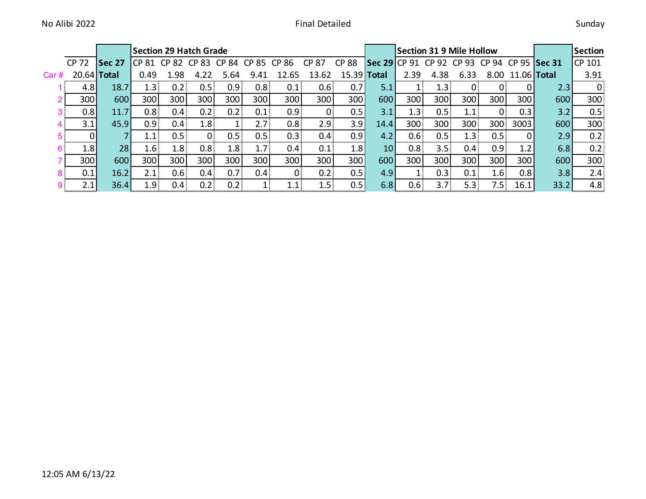|       |               |               | <b>Section 29 Hatch Grade</b> |                  |                  |                  |       |                  |                  |       | Section 31 9 Mile Hollow |      |                  |                                |                  |                  |      | Section |
|-------|---------------|---------------|-------------------------------|------------------|------------------|------------------|-------|------------------|------------------|-------|--------------------------|------|------------------|--------------------------------|------------------|------------------|------|---------|
|       | CP 72         | <b>Sec 27</b> | CP 81 CP 82 CP 83             |                  |                  | CP 84            | CP 85 | CP 86            | CP 87            | CP 88 | <b>Sec 29 CP 91</b>      |      |                  | CP 92 CP 93 CP 94 CP 95 Sec 31 |                  |                  |      | CP 101  |
| Car # | $20.64$ Total |               | 0.49                          | 1.98             |                  | ა.ხ4             | 9.41  | 12.65            | 13.62            | 15.39 | <b>Total</b>             | 2.39 | 4.38             | 6.33                           |                  | 8.00 11.06 Total |      | 3.91    |
|       | $4.8\vert$    | 18.7          | 1.3                           | 0.2              | 0.5%             | 0.9 <sub>1</sub> | 0.8   | 0.1              | 0.6:             | 0.7   | 5.1                      |      | 1.3 <sup>°</sup> | $\mathbf{0}$                   |                  | 0                | 2.3  |         |
|       | 300           | 600           | 300                           | 300              | 300              | 300              | 300   | 300              | 300              | 300   | 600                      | 300  | 300              | 300                            | 300              | 300              | 600  | 300     |
|       | 0.8           | 11.7          | 0.8 <sub>1</sub>              | 0.4:             | 0.2.             | 0.2              | 0.1   | 0.9 <sub>1</sub> | $\mathbf{0}$     | 0.5   | 3.1                      | 1.3  | 0.5:             | $\pm .1$                       | $0^{\circ}$      | 0.3              | 3.2  | 0.5     |
|       | 3.1           | 45.9          | 0.9 <sub>1</sub>              | 0.4              | 1.8 <sub>1</sub> |                  | 2.7   | 0.8              | 2.9.             | 3.9   | 14.4                     | 300  | 300              | 300                            | 300              | 3003             | 600  | 300     |
|       |               |               | 1.1                           | 0.5:             | 0.               | 0.5:             | 0.5   | 0.3              | 0.4:             | 0.9   | 4.2                      | 0.6  | 0.5              | 1.3                            | 0.5 <sub>1</sub> | 0I               | 2.9  | 0.2     |
|       | 1.8           | 28            | 1.6                           | 1.8              | 0.8 <sub>1</sub> | 1.8              | 1.7   | 0.4              | 0.1              | 1.8   | 10 <sup>1</sup>          | 0.8  | 3.5:             | 0.4 <sup>1</sup>               | 0.9 <sub>1</sub> | 1.2              | 6.8  | 0.2     |
|       | 300           | 600           | 300                           | 300              | 300              | 300              | 300   | 300              | 300 <sup>1</sup> | 300   | 600                      | 300  | 300              | 300                            | 300              | 300              | 600  | 300     |
|       | 0.1           | 16.2          | 2.1                           | 0.6 <sub>1</sub> | 0.4              | 0.7 <sub>1</sub> | 0.4   |                  | 0.2              | 0.5   | 4.9                      |      | 0.3              | 0.1                            | 1.6 <sub>1</sub> | 0.8              | 3.8  | 2.4     |
|       | 2.1           | 36.4          | 1.9.                          | 0.4              | 0.2              | $\mathcal{D}$    |       |                  | 1.5:             |       | 6.8                      | 0.6  | 3.7 <sup>2</sup> | 5.3 <sub>1</sub>               | 7.5.             | 16.1             | 33.2 | 4.8     |